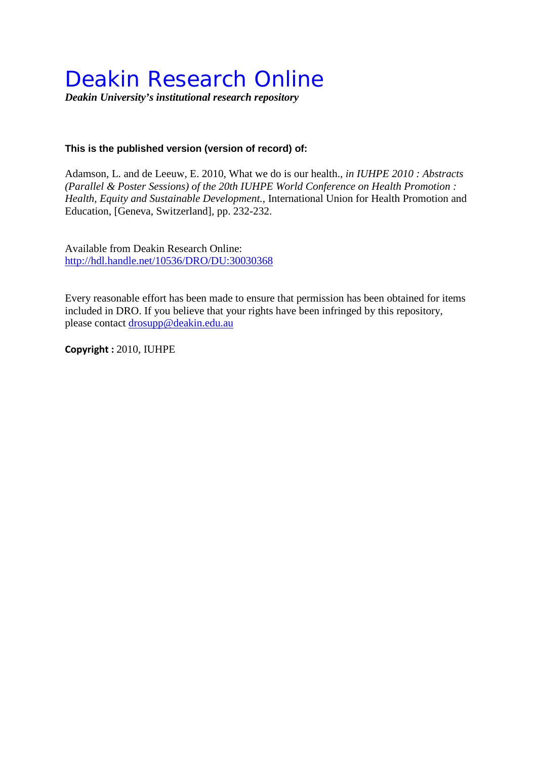## Deakin Research Online

*Deakin University's institutional research repository*

## **This is the published version (version of record) of:**

Adamson, L. and de Leeuw, E. 2010, What we do is our health.*, in IUHPE 2010 : Abstracts (Parallel & Poster Sessions) of the 20th IUHPE World Conference on Health Promotion : Health, Equity and Sustainable Development.*, International Union for Health Promotion and Education, [Geneva, Switzerland], pp. 232-232.

Available from Deakin Research Online: <http://hdl.handle.net/10536/DRO/DU:30030368>

Every reasonable effort has been made to ensure that permission has been obtained for items included in DRO. If you believe that your rights have been infringed by this repository, please contact [drosupp@deakin.edu.au](mailto:drosupp@deakin.edu.au) 

**Copyright :** 2010, IUHPE